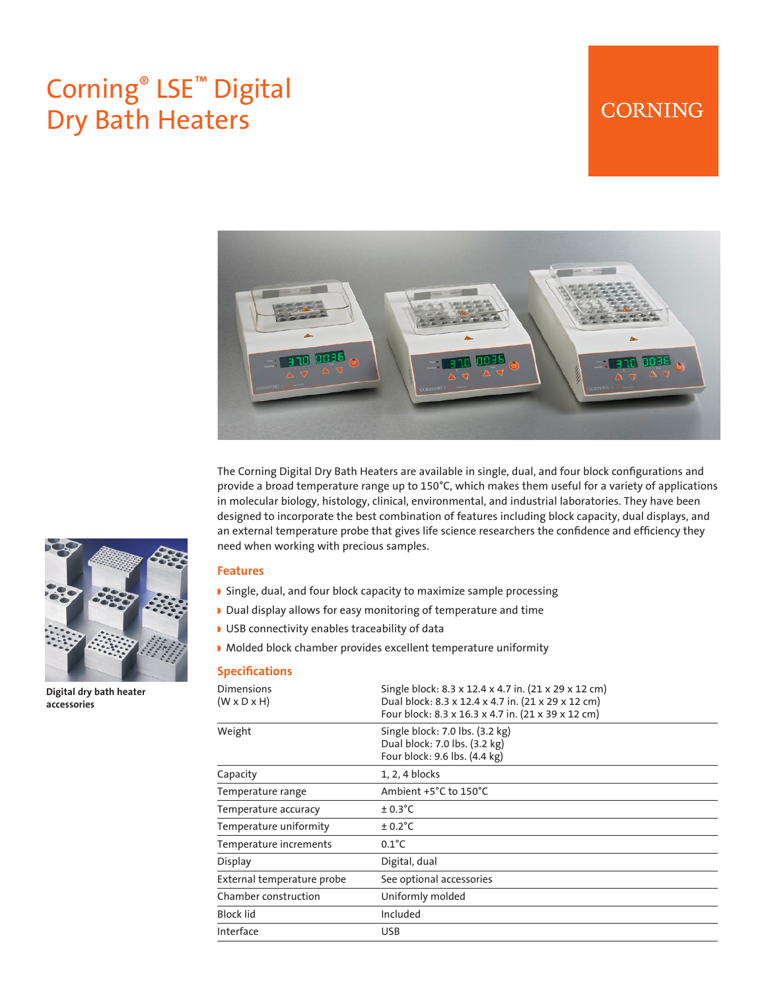# Corning® LSE™ Digital Dry Bath Heaters

### **CORNING**



The Corning Digital Dry Bath Heaters are available in single, dual, and four block configurations and provide a broad temperature range up to 150°C, which makes them useful for a variety of applications in molecular biology, histology, clinical, environmental, and industrial laboratories. They have been designed to incorporate the best combination of features including block capacity, dual displays, and an external temperature probe that gives life science researchers the confidence and efficiency they need when working with precious samples.

#### **Features**

- ◗ Single, dual, and four block capacity to maximize sample processing
- ◗ Dual display allows for easy monitoring of temperature and time
- ◗ USB connectivity enables traceability of data
- ◗ Molded block chamber provides excellent temperature uniformity

#### **Specifications**

| <b>Dimensions</b><br>$(W \times D \times H)$ | Single block: 8.3 x 12.4 x 4.7 in. (21 x 29 x 12 cm)<br>Dual block: 8.3 x 12.4 x 4.7 in. (21 x 29 x 12 cm)<br>Four block: 8.3 x 16.3 x 4.7 in. (21 x 39 x 12 cm) |
|----------------------------------------------|------------------------------------------------------------------------------------------------------------------------------------------------------------------|
| Weight                                       | Single block: 7.0 lbs. (3.2 kg)<br>Dual block: 7.0 lbs. (3.2 kg)<br>Four block: 9.6 lbs. (4.4 kg)                                                                |
| Capacity                                     | 1, 2, 4 blocks                                                                                                                                                   |
| Temperature range                            | Ambient +5°C to 150°C                                                                                                                                            |
| Temperature accuracy                         | $\pm$ 0.3 $^{\circ}$ C                                                                                                                                           |
| Temperature uniformity                       | $\pm$ 0.2 $^{\circ}$ C                                                                                                                                           |
| Temperature increments                       | $0.1^{\circ}$ C                                                                                                                                                  |
| Display                                      | Digital, dual                                                                                                                                                    |
| External temperature probe                   | See optional accessories                                                                                                                                         |
| Chamber construction                         | Uniformly molded                                                                                                                                                 |
| Block lid                                    | Included                                                                                                                                                         |
| Interface                                    | <b>USB</b>                                                                                                                                                       |



**Digital dry bath heater accessories**